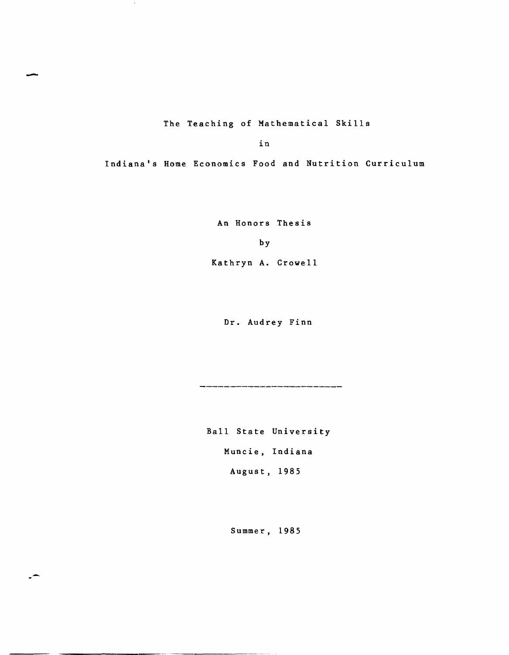The Teaching of Mathematical Skills

-

 $\sim$ 

.-

in

Indiana's Home Economics Food and Nutrition Curriculum

An Honors Thesis

by

Kathryn A. Crowell

Dr. Audrey Finn

.<br>2002 - Ann Ann an Dùbhlach an Dùbhlach ann an Ann an Dùbhlach ann an Dùbhlach an Dùbhlach ann an Dùbhlach ann

Ball State University Muncie, Indiana August, 1985

Summer, 1985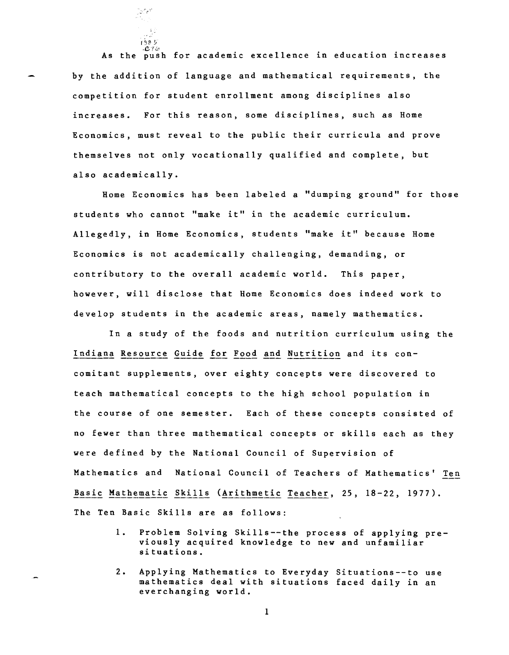*.CTLc*  As the push for academic excellence in education increases by the addition of language and mathematical requirements, the competition for student enrollment among disciplines also increases. For this reason, some disciplines, such as Home Economics, must reveal to the public their curricula and prove themselves not only vocationally qualified and complete, but also academically.

 $1985$ 

 $\Im \Delta \mathcal{L}^{\mathrm{th}}$ 

Home Economics has been labeled a "dumping ground" for those students who cannot "make it" in the academic curriculum. Allegedly, in Home Economics, students "make it" because Home Economics is not academically challenging, demanding, or contributory to the overall academic world. This paper, however, will disclose that Home Economics does indeed work to develop students in the academic areas, namely mathematics.

In a study of the foods and nutrition curriculum using the Indiana Resource Guide for Food and Nutrition and its concomitant supplements, over eighty concepts were discovered to teach mathematical concepts to the high school population in the course of one semester. Each of these concepts consisted of no fewer than three mathematical concepts or skills each as they were defined by the National Council of Supervision of Mathematics and National Council of Teachers of Mathematics' Ten Basic Mathematic Skills (Arithmetic Teacher, 25, 18-22, 1977). The Ten Basic Skills are as follows:

- 1. Problem Solving Ski1ls--the process of applying previously acquired knowledge to new and unfamiliar situations.
- 2. Applying Mathematics to Everyday Situations--to use mathematics deal with situations faced daily in an everchanging world.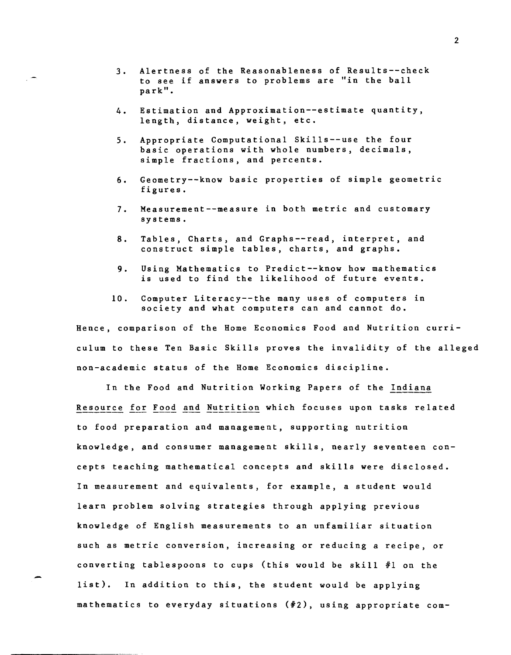3. Alertness of the Reasonableness of Results--check to see if answers to problems are "in the ball park".

 $\overline{a}$ 

- 4. Estimation and Approximation--estimate quantity, length, distance, weight, etc.
- 5. Appropriate Computational Skills--use the four basic operations with whole numbers, decimals, simple fractions, and percents.
- 6. Geometry--know basic properties of simple geometric figures.
- 7. Measurement--measure in both metric and customary systems.
- 8. Tables, Charts, and Graphs--read, interpret, and construct simple tables, charts, and graphs.
- 9. Using Mathematics to Predict--know how mathematics is used to find the likelihood of future events.
- 10. Computer Literacy--the many uses of computers in society and what computers can and cannot do.

Hence, comparison of the Home Economics Food and Nutrition curriculum to these Ten Basic Skills proves the invalidity of the alleged non-academic status of the Home Economics discipline.

In the Food and Nutrition Working Papers of the Indiana Resource for Food and Nutrition which focuses upon tasks related to food preparation and management, supporting nutrition knowledge, and consumer management skills, nearly seventeen concepts teaching mathematical concepts and skills were disclosed. In measurement and equivalents, for example, a student would learn problem solving strategies through applying previous knowledge of English measurements to an unfamiliar situation such as metric conversion, increasing or reducing a recipe, or converting tablespoons to cups (this would be skill #1 on the list). In addition to this, the student would be applying mathematics to everyday situations *(12),* using appropriate com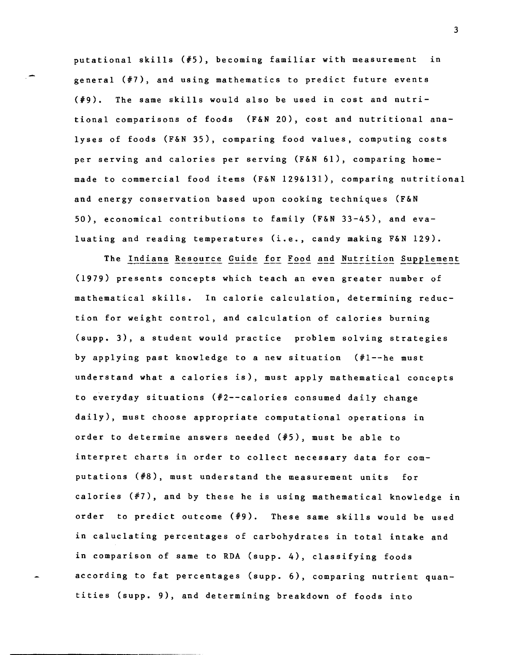putational skills (#5), becoming familiar with measurement in general (#7), and using mathematics to predict future events  $(\frac{1}{2}, \frac{1}{2})$ . The same skills would also be used in cost and nutritional comparisons of foods (F&N 20), cost and nutritional analyses of foods (F&N 35), comparing food values, computing costs per serving and calories per serving (F&N 61), comparing homemade to commercial food items (F&N 129&131), comparing nutritional and energy conservation based upon cooking techniques (F&N 50), economical contributions to family (F&N 33-45), and evaluating and reading temperatures (i.e., candy making F&N 129).

The Indiana Resource Guide for Food and Nutrition Supplement (1979) presents concepts which teach an even greater number of mathematical skills. In calorie calculation, determining reduction for weight control, and calculation of calories burning (supp. 3), a student would practice problem solving strategies by applying past knowledge to a new situation  $(*1--he$  must understand what a calories is), must apply mathematical concepts to everyday situations  $(*2--calories$  consumed daily change daily), must choose appropriate computational operations in order to determine answers needed (#5), must be able to interpret charts in order to collect necessary data for computations *(18),* must understand the measurement units for calories (#7), and by these he is using mathematical knowledge in order to predict outcome (#9). These same skills would be used in caluclating percentages of carbohydrates in total intake and in comparison of same to RDA (supp. 4), classifying foods according to fat percentages (supp. 6), comparing nutrient quantities (supp. 9), and determining breakdown of foods into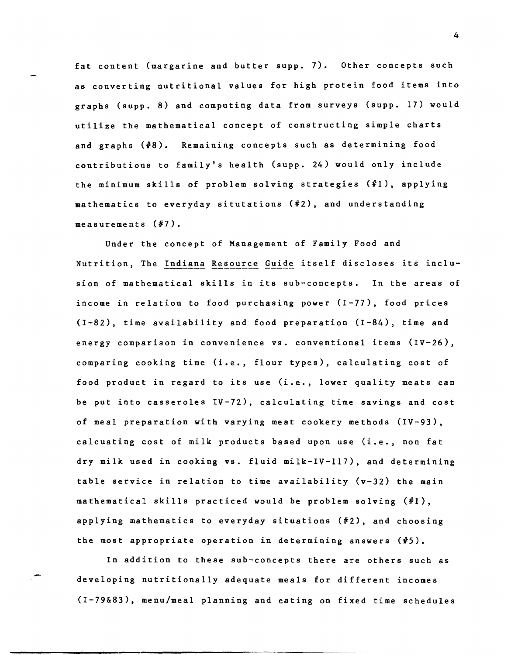fat content (margarine and butter supp. 7). Other concepts such as converting nutritional values for high protein food items into graphs (supp. 8) and computing data from surveys (supp. 17) would utilize the mathematical concept of constructing simple charts and graphs (#8). Remaining concepts such as determining food contributions to family's health (supp. 24) would only include the minimum skills of problem solving strategies (#1), applying mathematics to everyday situtations (#2), and understanding measurements (#7).

Under the concept of Management of Family Food and Nutrition, The Indiana Resource Guide itself discloses its inclusion of mathematical skills in its sub-concepts. In the areas of income in relation to food purchasing power (1-77), food prices (1-82), time availability and food preparation (1-84), time and energy comparison in convenience vs. conventional items (IV-26), comparing cooking time (i.e., flour types), calculating cost of food product in regard to its use (i.e., lower quality meats can be put into casseroles IV-72), calculating time savings and cost of meal preparation with varying meat cookery methods (IV-93), calcuating cost of milk products based upon use (i.e., non fat dry milk used in cooking vs. fluid milk-IV-II7), and determining table service in relation to time availability  $(v-32)$  the main mathematical skills practiced would be problem solving (#1), applying mathematics to everyday situations (#2), and choosing the most appropriate operation in determining answers (#5).

In addition to these sub-concepts there are others such as developing nutritionally adequate meals for different incomes (1-79&83), menu/meal planning and eating on fixed time schedules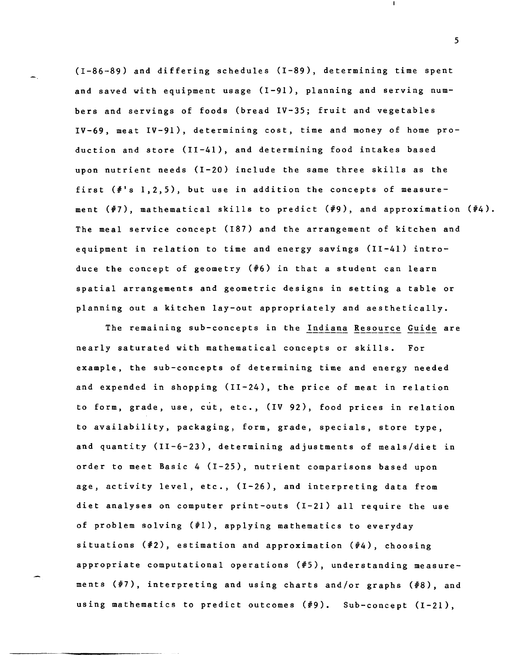(1-86-89) and differing schedules (1-89), determining time spent and saved with equipment usage (1-91), planning and serving numbers and servings of foods (bread IV-35; fruit and vegetables IV-69, meat IV-91), determining cost, time and money of home production and store (11-41), and determining food intakes based upon nutrient needs (1-20) include the same three skills as the first  $(*'s\;1,2,5)$ , but use in addition the concepts of measurement (#7), mathematical skills to predict (#9), and approximation (#4). The meal service concept (187) and the arrangement of kitchen and equipment in relation to time and energy savings (11-41) introduce the concept of geometry (#6) in that a student can learn spatial arrangements and geometric designs in setting a table or planning out a kitchen lay-out appropriately and aesthetically.

The remaining sub-concepts in the Indiana Resource Guide are nearly saturated with mathematical concepts or skills. For example, the sub-concepts of determining time and energy needed and expended in shopping (11-24), the price of meat in relation to form, grade, use, cut, etc., (IV 92), food prices in relation to availability, packaging, form, grade, specials, store type, and quantity (11-6-23), determining adjustments of meals/diet in order to meet Basic 4 (1-25), nutrient comparisons based upon age, activity level, etc., (1-26), and interpreting data from diet analyses on computer print-outs (1-21) all require the use of problem solving (#1), applying mathematics to everyday situations (#2), estimation and approximation (#4), choosing appropriate computational operations (#5), understanding measurements (#7), interpreting and using charts and/or graphs (#8), and using mathematics to predict outcomes (#9). Sub-concept (1-21),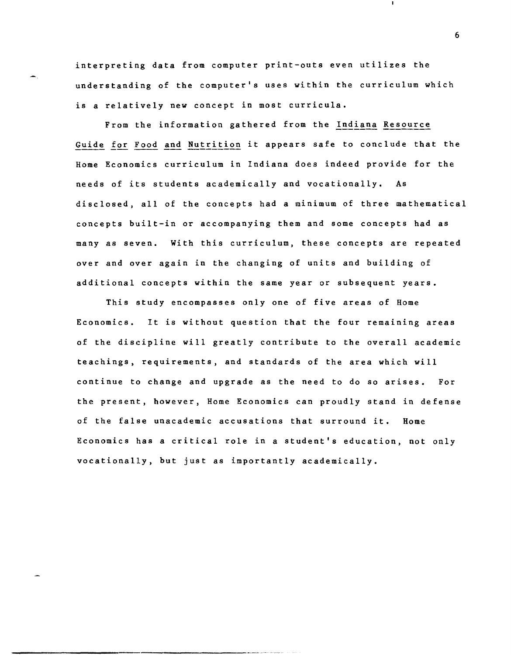interpreting data from computer print-outs even utilizes the understanding of the computer's uses within the curriculum which is a relatively new concept in most curricula.

From the information gathered from the Indiana Resource Guide for Food and Nutrition it appears safe to conclude that the Home Economics curriculum in Indiana does indeed provide for the needs of its students academically and vocationally. As disclosed, all of the concepts had a minimum of three mathematical concepts built-in or accompanying them and some concepts had as many as seven. With this curriculum, these concepts are repeated over and over again in the changing of units and building of additional concepts within the same year or subsequent years.

This study encompasses only one of five areas of Home Economics. It is without question that the four remaining areas of the discipline will greatly contribute to the overall academic teachings, requirements, and standards of the area which will continue to change and upgrade as the need to do so arises. For the present, however, Home Economics can proudly stand in defense of the false unacademic accusations that surround it. Home Economics has a critical role in a student's education, not only vocationally, but just as importantly academically.